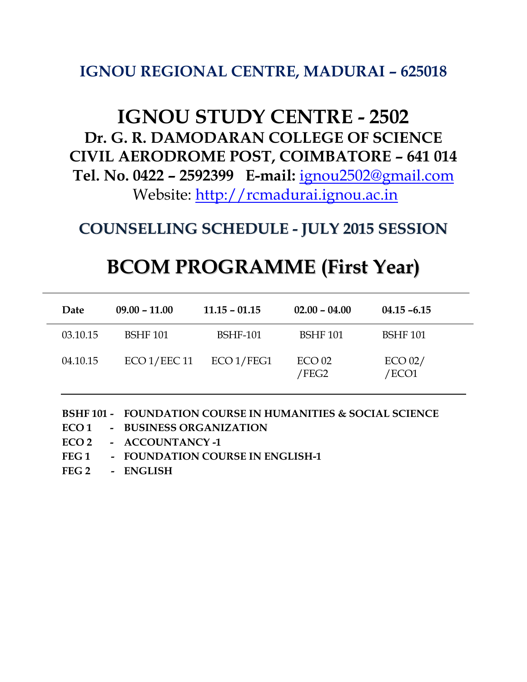## **IGNOU REGIONAL CENTRE, MADURAI – 625018**

## **IGNOU STUDY CENTRE - 2502 Dr. G. R. DAMODARAN COLLEGE OF SCIENCE CIVIL AERODROME POST, COIMBATORE – 641 014 Tel. No. 0422 – 2592399 E-mail:** [ignou2502@gmail.com](mailto:ignou2502@gmail.com) Website: [http://rcmadurai.ignou.ac.in](http://rcmadurai.ignou.ac.in/)

**COUNSELLING SCHEDULE - JULY 2015 SESSION**

## **BCOM PROGRAMME (First Year)**

| Date     | $09.00 - 11.00$ | $11.15 - 01.15$ | $02.00 - 04.00$            | $04.15 - 6.15$   |  |
|----------|-----------------|-----------------|----------------------------|------------------|--|
| 03.10.15 | <b>BSHF 101</b> | <b>BSHF-101</b> | <b>BSHF 101</b>            | <b>BSHF 101</b>  |  |
| 04.10.15 | ECO 1/EEC 11    | ECO1/FEG1       | ECO <sub>02</sub><br>/FEG2 | ECO 02/<br>/ECO1 |  |

**BSHF 101 - FOUNDATION COURSE IN HUMANITIES & SOCIAL SCIENCE**

- **ECO 1 - BUSINESS ORGANIZATION**
- **ECO 2 - ACCOUNTANCY -1**
- **FEG 1 - FOUNDATION COURSE IN ENGLISH-1**
- **FEG 2 - ENGLISH**